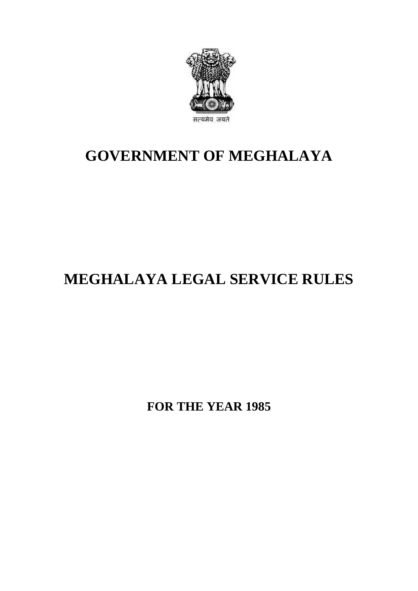

## **GOVERNMENT OF MEGHALAYA**

# **MEGHALAYA LEGAL SERVICE RULES**

**FOR THE YEAR 1985**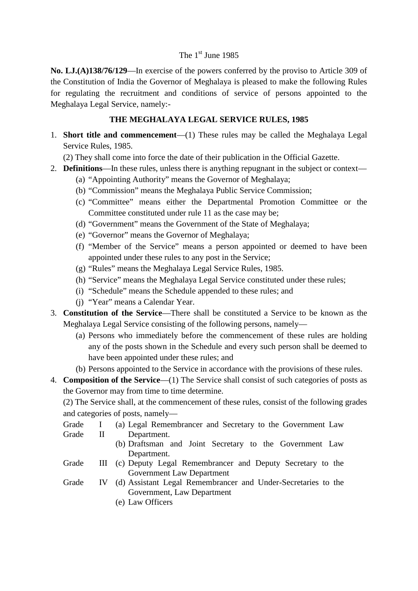### The 1<sup>st</sup> June 1985

The 1<sup>st</sup> June 1985<br> **No. LJ.(A)138/76/129**—In exercise of the powers conferred by the proviso to Article 309 of<br>
the Constitution of India the Governor of Meghalaya is pleased to make the following Rules The 1<sup>st</sup> June 1985<br>No. LJ.(A)138/76/129—In exercise of the powers conferred by the proviso to Article 309 of<br>the Constitution of India the Governor of Meghalaya is pleased to make the following Rules<br>for regulating the re for regulating the recruitment and conditions of service of persons appointed to the Meghalaya Legal Service, namely: the Constitution of India the Governor of Meghalaya is pleased to make the following Rules<br>for regulating the recruitment and conditions of service of persons appointed to the<br>Meghalaya Legal Service, namely:-<br>**THE MEGHALA** 

1. **Short title and commencement**—(1) These rules may be called the Meghalaya Legal Service Rules, 1985.

(2) They shall come into force the date of their publication in the Official Gazette.

- 2. **Definitions**—In these rules, unless there is anything repugnant in the subject or context—
	- (a) "Appointing Authority" means the Governor of Meghalaya;
	- (b) "Commission" means the Meghalaya Public Service Commission;
	- (c) "Committee" means either the Departmental Promotion Committee or the Committee constituted under rule 11 as the case may be;
	- (d) "Government" means the Government of the State of Meghalaya;
	- (e) "Governor" means the Governor of Meghalaya;
	- (f) "Member of the Service" means a person appointed or deemed to have been appointed under these rules to any post in the Service;
	- (g) "Rules" means the Meghalaya Legal Service Rules, 1985.
	- (h) "Service" means the Meghalaya Legal Service constituted under these rules;
	- (i) "Schedule" means the Schedule appended to these rules; and
	- (j) "Year" means a Calendar Year.
- 3. **Constitution of the Service**—There shall be constituted a Service to be known as the (h) "Service" means the Meghalaya Legal Service constituted under these rules;<br>
(i) "Schedule" means the Schedule appended to these rules; and<br>
(j) "Year" means a Calendar Year.<br> **Constitution of the Service**—There shall b
- (i) "Schedule" means the Schedule appended to these rules; and<br>
(j) "Year" means a Calendar Year.<br> **nstitution of the Service**—There shall be constituted a Service to be known as the<br>
ghalaya Legal Service consisting of th any of the posts shown in the Schedule and every such person shall be deemed to have been appointed under these rules; and Meghalaya Legal Service consisting of the following persons, namely—<br>
(a) Persons who immediately before the commencement of these rules are holding<br>
any of the posts shown in the Schedule and every such person shall be de
	-
- the Governor may from time to time determine.

have been appointed under these rules; and<br>
(b) Persons appointed to the Service in accordance with the provisions of these rules.<br> **Composition of the Service**—(1) The Service shall consist of such categories of posts as<br> and categories of posts, namely— **Composition of the Service**—(1) The Service shall consist of such categories of posts as<br>the Governor may from time to time determine.<br>(2) The Service shall, at the commencement of these rules, consist of the following g Composition of the Service (1)<br>the Governor may from time to time<br>(2) The Service shall, at the commer<br>and categories of posts, namely—<br>Grade II Department.<br>(b) Draftsman and (b) Draftsman and Joint Secretary to the Government Law<br>Department.<br>(b) Draftsman and Joint Secretary to the Government Law<br>Department.

- - - Department.
- and categories of posts, namely—<br>
Grade I (a) Legal Remembrancer and Secretary to the Government Law<br>
Grade II (c) Deputy Legal Remembrancer and Deputy Secretary to the<br>
Grade III (c) Deputy Legal Remembrancer and Deputy S Government Law Department
- Grade II Department.<br>
(b) Draftsman and Joint Secretary to the Government Law<br>
Department.<br>
Grade III (c) Deputy Legal Remembrancer and Deputy Secretary to the<br>
Government Law Department<br>
Grade IV (d) Assistant Legal Remem Draftsman and Joint Secretary<br>Department.<br>Deputy Legal Remembrancer and<br>Government Law Department<br>Assistant Legal Remembrancer ar<br>Government, Law Department<br>Law Officers Department.<br>
(c) Deputy Lega<br>
Government<br>
(d) Assistant Le<br>
Government,<br>
(e) Law Officers
	-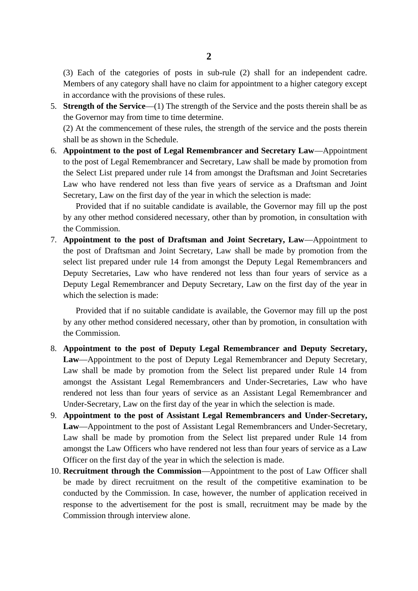2<br>
(3) Each of the categories of posts in sub-rule (2) shall for an independent cadre.<br>
Members of any category shall have no claim for appointment to a higher category except<br>
in accordance with the provisions of these r in accordance with the provisions of these rules.

5. **Strength of the Service**—(1) The strength of the Service and the posts therein shall be as the Governor may from time to time determine.

shall be as shown in the Schedule.

6. **Appointment to the post of Legal Remembrancer and Secretary Law**—Appointment to the post of Legal Remembrancer and Secretary, Law shall be made by promotion from the Select List prepared under rule 14 from amongst the Draftsman and Joint Secretaries Law who have rendered not less than five years of service as a Draftsman and Joint Appointment to the post of Legal Remembrancer and Secretary Law—A<br>to the post of Legal Remembrancer and Secretary, Law shall be made by pron<br>the Select List prepared under rule 14 from amongst the Draftsman and Joint<br>Law w

Provided that if no suitable candidate is available, the Governor may fill up the post by any other method considered necessary, other than by promotion, in consultation with the Commission. 1. Provided that if no suitable candidate is available, the Governor may fill up the post<br>by any other method considered necessary, other than by promotion, in consultation with<br>the Commission.<br>**7. Appointment to the post** 

Provided that if no suitable candidate is available, the Governor may fill up the post<br>by any other method considered necessary, other than by promotion, in consultation with<br>the Commission.<br>**Appointment to the post of Dra** select list prepared under rule 14 from amongst the Deputy Legal Remembrancers and Deputy Secretaries, Law who have rendered not less than four years of service as a Deputy Legal Remembrancer and Deputy Secretary, Law on the first day of the year in which the selection is made: ext list prepared under rule 14 from amongst the Deputy Legal Remembrancers and<br>buty Secretaries, Law who have rendered not less than four years of service as a<br>availy Legal Remembrancer and Deputy Secretary, Law on the fi

by any other method considered necessary, other than by promotion, in consultation with the Commission.

- 8. **Appointment to the post of Deputy Legal Remembrancer and Deputy Secretary,** Provided that if no suitable candidate is available, the Governor may fill up the post<br>by any other method considered necessary, other than by promotion, in consultation with<br>the Commission.<br>**Appointment to the post of Dep** by any other method considered necessary, other than by promotion, in consultation with<br>the Commission.<br>**Appointment to the post of Deputy Legal Remembrancer and Deputy Secretary,**<br>**Law**—Appointment to the post of Deputy L amongst the Assistant Legal Remembrancers and Under-Secretaries, Law who have rendered not less than four years of service as an Assistant Legal Remembrancer and Under-Secretary, Law on the first day of the year in which the selection is made. Law shall be made by promotion from the Select list prepared under Rule 14 from<br>amongst the Assistant Legal Remembrancers and Under-Secretaries, Law who have<br>rendered not less than four years of service as an Assistant Leg
- amongst the Assistant Legal Remembrancers and Under-Secretaries, Law who have<br>rendered not less than four years of service as an Assistant Legal Remembrancer and<br>Under-Secretary, Law on the first day of the year in which t amongst the Law Officers who have rendered not less than four years of service as a Law Officer on the first day of the year in which the selection is made.
- 10. **Recruitment through the Commission**—Appointment to the post of Law Officer shall be made by direct recruitment on the result of the competitive examination to be conducted by the Commission. In case, however, the number of application received in response to the advertisement for the post is small, recruitment may be made by the Commission through interview alone.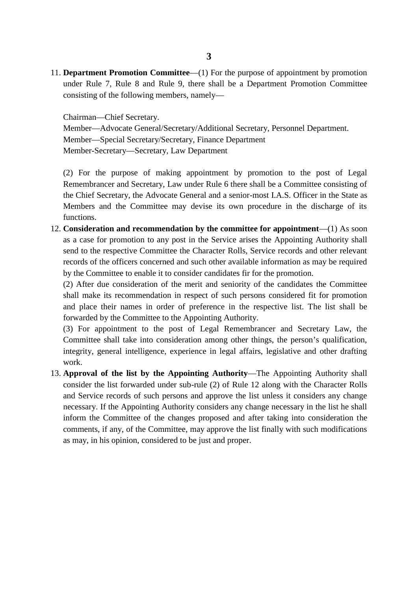11. **Department Promotion Committee**—(1) For the purpose of appointment by promotion under Rule 7, Rule 8 and Rule 9, there shall be a Department Promotion Committee consisting of the following members, namely—

Chairman—Chief Secretary.

Member—Advocate General/Secretary/Additional Secretary, Personnel Department. Member—Special Secretary/Secretary, Finance Department Chairman—Chief Secretary.<br>
Member—Advocate General/Secretary/Additional Se<br>
Member—Special Secretary/Secretary, Finance Department<br>
Member-Secretary—Secretary, Law Department Member—Advocate General/Secretary/Additional Secretary, Personnel Department.<br>
Member—Special Secretary/Secretary, Finance Department<br>
Member-Secretary—Secretary, Law Department<br>
(2) For the purpose of making appointment b

Remembrancer and Secretary, Law under Rule 6 there shall be a Committee consisting of Member-Secretary—Secretary, Law Department<br>
(2) For the purpose of making appointment by promotion to the post of Legal<br>
Remembrancer and Secretary, Law under Rule 6 there shall be a Committee consisting of<br>
the Chief Secr Members and the Committee may devise its own procedure in the discharge of its functions.

12. **Consideration and recommendation by the committee for appointment**—(1) As soon as a case for promotion to any post in the Service arises the Appointing Authority shall send to the respective Committee the Character Rolls, Service records and other relevant records of the officers concerned and such other available information as may be required by the Committee to enable it to consider candidates fir for the promotion.

(2) After due consideration of the merit and seniority of the candidates the Committee shall make its recommendation in respect of such persons considered fit for promotion records of the officers concerned and such other available information as may be required<br>by the Committee to enable it to consider candidates fir for the promotion.<br>(2) After due consideration of the merit and seniority o forwarded by the Committee to the Appointing Authority.

(3) For appointment to the post of Legal Remembrancer and Secretary Law, the Committee shall take into consideration among other things, the person's qualification, integrity, general intelligence, experience in legal affairs, legislative and other drafting work.

13. **Approval of the list by the Appointing Authority**—The Appointing Authority shall consider the list forwarded under sub-rule (2) of Rule 12 along with the Character Rolls and Service records of such persons and approve the list unless it considers any change work.<br> **Approval of the list by the Appointing Authority**—The Appointing Authority shall<br>
consider the list forwarded under sub-rule (2) of Rule 12 along with the Character Rolls<br>
and Service records of such persons and ap comments, if any, of the Committee, may approve the list finally with such modifications as may, in his opinion, considered to be just and proper.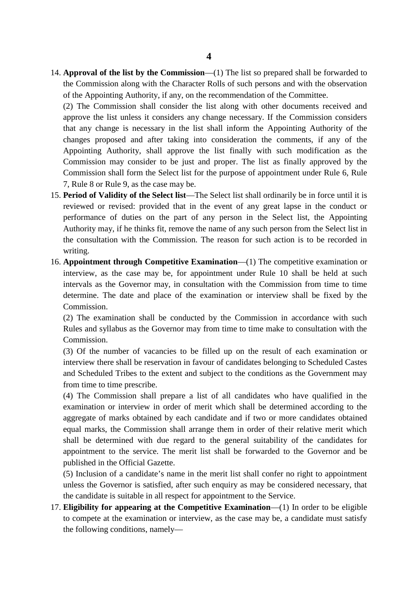14. **Approval of the list by the Commission**—(1) The list so prepared shall be forwarded to the Commission along with the Character Rolls of such persons and with the observation **4**<br>**Approval of the list by the Commission**—(1) The list so prepared shall be forwarded to<br>the Commission along with the Character Rolls of such persons and with the observation<br>of the Appointing Authority, if any, on th **4**<br> **Approval of the list by the Commission**—(1) The list so prepared shall be forwa<br>
the Commission along with the Character Rolls of such persons and with the obse<br>
of the Appointing Authority, if any, on the recommenda (2) The List along the University of the Commission 10.1 The list so prepared shall be forwarded to the Commission along with the Character Rolls of such persons and with the observation of the Appointing Authority, if any

Approval of the list by the Commission—(1) The list so prepared shall be forwarded to<br>the Commission along with the Character Rolls of such persons and with the observation<br>of the Appointing Authority, if any, on the recom The Commission along with the Character Rolls of such persons and with the observation<br>of the Appointing Authority, if any, on the recommendation of the Committee.<br>(2) The Commission shall consider the list along with othe changes proposed and after taking into consideration the comments, if any of the Appointing Authority, shall approve the list finally with such modification as the approve the list unless it considers any change necessary. If the Commission considers that any change is necessary in the list shall inform the Appointing Authority of the changes proposed and after taking into considerat changes proposed and after taking into<br>Appointing Authority, shall approve the<br>Commission may consider to be just and<br>Commission shall form the Select list for th<br>7, Rule 8 or Rule 9, as the case may be.<br>**Period of Validit** 

- 15. **Period of Validity of the Select list**—The Select list shall ordinarily be in force until it is reviewed or revised: provided that in the event of any great lapse in the conduct or Commission shall form the Select list for the purpose of appointment under Rule 6, Rule 7, Rule 8 or Rule 9, as the case may be.<br>**Period of Validity of the Select list**—The Select list shall ordinarily be in force until it Authority may, if he thinks fit, remove the name of any such person from the Select list in the consultation with the Commission. The reason for such action is to be recorded in writing. performance of duties on the part of any person in the Select list, the Appointing<br>Authority may, if he thinks fit, remove the name of any such person from the Select list in<br>the consultation with the Commission. The reaso
- Authority may, if he thinks fit, remove the name of any such person from the Select list in<br>the consultation with the Commission. The reason for such action is to be recorded in<br>writing.<br>**Appointment through Competitive Ex** intervals as the Governor may, in consultation with the Commission from time to time determine. The date and place of the examination or interview shall be fixed by the Commission. interview, as the case may be, for appointment under Rule 10 shall be held at such<br>intervals as the Governor may, in consultation with the Commission from time to time<br>determine. The date and place of the examination or in

Rules and syllabus as the Governor may from time to time make to consultation with the Commission. (2) The examination shall be conducted by the Commission in accordance with such<br>Rules and syllabus as the Governor may from time to time make to consultation with the<br>Commission.<br>(3) Of the number of vacancies to be fille

interview there shall be reservation in favour of candidates belonging to Scheduled Castes and Scheduled Tribes to the extent and subject to the conditions as the Government may Commission.<br>
(3) Of the number of vacancie<br>
interview there shall be reservati<br>
and Scheduled Tribes to the ext<br>
from time to time prescribe.<br>
(4) The Commission shall prep

(4) The Commission shall prepare a list of all candidates who have qualified in the examination or interview in order of merit which shall be determined according to the from time to time prescribe.<br>
(4) The Commission shall prepare a list of all candidates who have qualified in the examination or interview in order of merit which shall be determined according to the aggregate of marks obt equal marks, the Commission shall arrange them in order of their relative merit which shall be determined with due regard to the general suitability of the candidates for published in the Official Gazette.

appointment to the service. The merit list shall be forwarded to the Governor and be published in the Official Gazette.<br>
(5) Inclusion of a candidate's name in the merit list shall confer no right to appointment unless the (5) Inclusion of a candidate's name in the merit list shall confer no right to appointment unless the Governor is satisfied, after such enquiry as may be considered necessary, that

17. **Eligibility for appearing at the Competitive Examination**—(1) In order to be eligible to compete at the examination or interview, as the case may be, a candidate must satisfy the following conditions, namely—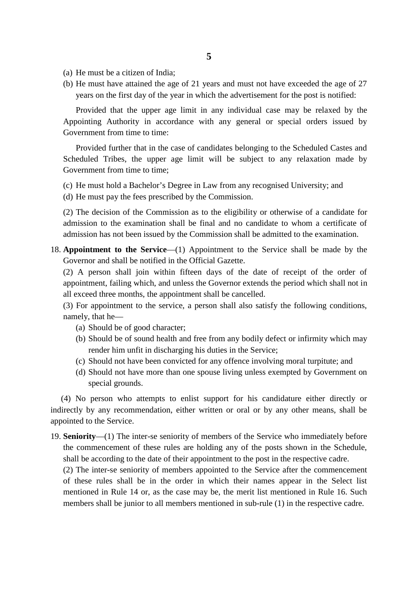- 
- (a) He must be a citizen of India;<br>(b) He must have attained the age of 2 (a) He must be a citizen of India;<br>(b) He must have attained the age of 21 years and must not have exceeded the age of 27 years on the first day of the year in which the advertisement for the post is notified: years on the first day of the year in which the advertisement for the post is notified:

(a) He must be a citizen of India;<br>
(b) He must have attained the age of 21 years and must not have exceeded the age of 27<br>
years on the first day of the year in which the advertisement for the post is notified:<br>
Provided Government from time to time: Provided that the upper age limit in any individual case may be relaxed by the Appointing Authority in accordance with any general or special orders issued by Government from time to time:<br>Provided further that in the case

Provided further that in the case of candidates belonging to the Scheduled Castes and Government from time to time; Scheduled Tribes, the upper age limit will be subject to any relaxation made by Government from time to time;<br>(c) He must hold a Bachelor's Degree in Law from any recognised University; and (d) He must pay the fees prescri

(c) He must hold a Bachelor's Degree in Law from any recognised University; and

(2) The decision of the Commission as to the eligibility or otherwise of a candidate for admission to the examination shall be final and no candidate to whom a certificate of admission has not been issued by the Commission shall be admitted to the examination. 18. The decision of the Commission as to the eligibility or otherwise of a candidate for admission to the examination shall be final and no candidate to whom a certificate of admission has not been issued by the Commission

Governor and shall be notified in the Official Gazette.

admission to the examination shall be final and no candidate to whom a certificate of admission has not been issued by the Commission shall be admitted to the examination.<br> **Appointment to the Service**—(1) Appointment to t appointment, failing which, and unless the Governor extends the period which shall not in all exceed three months, the appointment shall be cancelled. ointment, failing which, and unless the<br>exceed three months, the appointment<br>For appointment to the service, a pe<br>nely, that he—<br>(a) Should be of good character;<br>(b) Should be of sound health and fre

(3) For appointment to the service, a person shall also satisfy the following conditions, namely, that he—

- 
- exceed three months, the appointment shall be cancelled.<br>
For appointment to the service, a person shall also satisfy the following conditions,<br>
ely, that he—<br>
(a) Should be of good character;<br>
(b) Should be of sound healt render him unfit in discharging his duties in the Service; (a) Should be of good character;<br>
(b) Should be of sound health and free from any bodily defect or infirmity which may<br>
render him unfit in discharging his duties in the Service;<br>
(c) Should not have been convicted for any (a) Should be of good character;<br>
(b) Should be of sound health and free from any bodily defect or infirmity which may<br>
render him unfit in discharging his duties in the Service;<br>
(c) Should not have been convicted for any
- 
- special grounds.

(4) No person who attempts to enlist support for his candidature either directly or indirectly by any recommendation, either written or oral or by any other means, shall be appointed to the Service.

19. **Seniority**—(1) The inter-se seniority of members of the Service who immediately before the commencement of these rules are holding any of the posts shown in the Schedule, shall be according to the date of their appointment to the post in the respective cadre.

(2) The inter-se seniority of members appointed to the Service after the commencement of these rules shall be in the order in which their names appear in the Select list mentioned in Rule 14 or, as the case may be, the merit list mentioned in Rule 16. Such shall be according to the date of their appointment to the post in the respective cadre.<br>(2) The inter-se seniority of members appointed to the Service after the commencement<br>of these rules shall be in the order in which t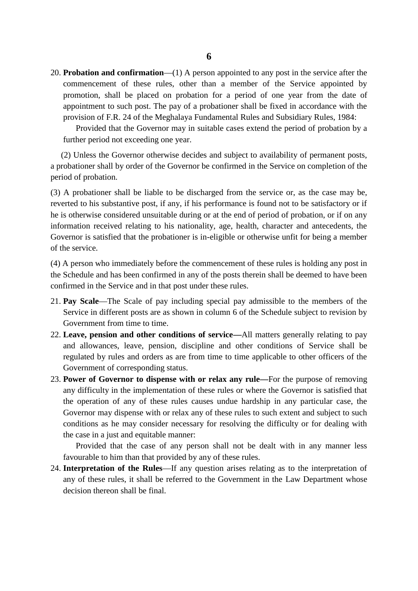20. **Probation and confirmation**—(1) A person appointed to any post in the service after the commencement of these rules, other than a member of the Service appointed by promotion, shall be placed on probation for a period of one year from the date of appointment to such post. The pay of a probationer shall be fixed in accordance with the provision of F.R. 24 of the Meghalaya Fundamental Rules and Subsidiary Rules, 1984:

Provided that the Governor may in suitable cases extend the period of probation by a further period not exceeding one year.

appointment to such post. The pay of a probationer shall be fixed in accordance with the provision of F.R. 24 of the Meghalaya Fundamental Rules and Subsidiary Rules, 1984:<br>Provided that the Governor may in suitable cases period of probation. (2) Unless the Governor otherwise decides and subject to availability of permanent posts, a probationer shall by order of the Governor be confirmed in the Service on completion of the period of probation.<br>(3) A probationer

reverted to his substantive post, if any, if his performance is found not to be satisfactory or if he is otherwise considered unsuitable during or at the end of period of probation, or if on any information received relating to his nationality, age, health, character and antecedents, the Governor is satisfied that the probationer is in-eligible or otherwise unfit for being a member of the service. he is otherwise considered unsuitable during or at the end of period of probation, or if on any<br>information received relating to his nationality, age, health, character and antecedents, the<br>Governor is satisfied that the p

confirmed in the Service and in that post under these rules.

- 21. **Pay Scale**—The Scale of pay including special pay admissible to the members of the Service in different posts are as shown in column 6 of the Schedule subject to revision by Government from time to time.
- 22. **Leave, pension and other conditions of service—**All matters generally relating to pay Pay Scale—The Scale of pay including special pay admissible to the members of the Service in different posts are as shown in column 6 of the Schedule subject to revision by Government from time to time.<br>Leave, pension and Government of corresponding status. 22. **Leave, pension and other conditions of service**—All matters generally relating to pay and allowances, leave, pension, discipline and other conditions of Service shall be regulated by rules and orders as are from time
- any difficulty in the implementation of these rules or where the Governor is satisfied that the operation of any of these rules causes undue hardship in any particular case, the Governor may dispense with or relax any of these rules to such extent and subject to such conditions as he may consider necessary for resolving the difficulty or for dealing with the case in a just and equitable manner: operation of any of these rules causes undue hardship in any particular case, the vernor may dispense with or relax any of these rules to such extent and subject to such ditions as he may consider necessary for resolving t

favourable to him than that provided by any of these rules.

24. **Interpretation of the Rules**—If any question arises relating as to the interpretation of the case in a just and equitable manner:<br>
Provided that the case of any person shall not be dealt with in any manner less<br>
favourable to him than that provided by any of these rules.<br> **Interpretation of the Rules**—If any q decision thereon shall be final.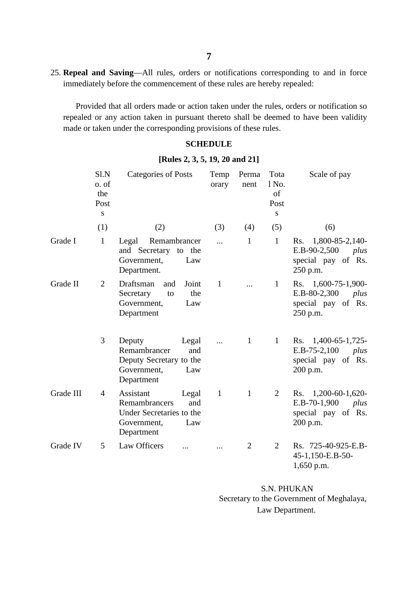25. **Repeal and Saving**—All rules, orders or notifications corresponding to and in force immediately before the commencement of these rules are hereby repealed:

Provided that all orders made or action taken under the rules, orders or notification taken under the rules, orders or notification so realed that all orders made or action taken under the rules, orders or notification so repealed or any action taken in pursuant thereto shall be deemed to have been validity made or taken under the corresponding provisions of these rules. Imade of action taken under the rufes<br>in in pursuant thereto shall be deen<br>responding provisions of these rules<br>**SCHEDULE**<br>[Rules 2, 3, 5, 19, 20 and 21]<br>ss of Posts Temp Perma To

### **SCHEDULE**

|                                |                                   | made or taken under the corresponding provisions of these rules.                                           |                 |                |                                  |                                                                                    |  |  |  |
|--------------------------------|-----------------------------------|------------------------------------------------------------------------------------------------------------|-----------------|----------------|----------------------------------|------------------------------------------------------------------------------------|--|--|--|
|                                |                                   |                                                                                                            | <b>SCHEDULE</b> |                |                                  |                                                                                    |  |  |  |
| [Rules 2, 3, 5, 19, 20 and 21] |                                   |                                                                                                            |                 |                |                                  |                                                                                    |  |  |  |
|                                | Sl.N<br>o. of<br>the<br>Post<br>S | <b>Categories of Posts</b>                                                                                 | Temp<br>orary   | Perma<br>nent  | Tota<br>1 No.<br>of<br>Post<br>S | Scale of pay                                                                       |  |  |  |
|                                | (1)                               | (2)                                                                                                        | (3)             | (4)            | (5)                              | (6)                                                                                |  |  |  |
| Grade I                        | $\mathbf{1}$                      | Remambrancer<br>Legal<br>and Secretary to the<br>Government,<br>Law<br>Department.                         | $\cdots$        | $\mathbf{1}$   | $\mathbf{1}$                     | 1,800-85-2,140-<br>Rs.<br>E.B-90-2,500<br>plus<br>special pay of Rs.<br>250 p.m.   |  |  |  |
| Grade II                       | $\overline{2}$                    | Draftsman<br>Joint<br>and<br>the<br>Secretary<br>to<br>Government,<br>Law<br>Department                    | $\mathbf{1}$    | $\dddotsc$     | $\mathbf{1}$                     | Rs. 1,600-75-1,900-<br>E.B-80-2,300<br>plus<br>special pay of Rs.<br>250 p.m.      |  |  |  |
|                                | 3                                 | Deputy<br>Legal<br>Remambrancer<br>and<br>Deputy Secretary to the<br>Government,<br>Law<br>Department      |                 | $\mathbf{1}$   | $\mathbf{1}$                     | $1,400-65-1,725-$<br>Rs.<br>E.B-75-2,100<br>plus<br>special pay of Rs.<br>200 p.m. |  |  |  |
| Grade III                      | $\overline{4}$                    | Assistant<br>Legal<br>Remambrancers<br>and<br>Under Secretaries to the<br>Government,<br>Law<br>Department | $\mathbf{1}$    | $\mathbf{1}$   | $\overline{2}$                   | Rs. 1,200-60-1,620-<br>E.B-70-1,900<br>plus<br>special pay of Rs.<br>200 p.m.      |  |  |  |
| Grade IV                       | 5                                 | Law Officers                                                                                               |                 | $\overline{2}$ | $\overline{2}$                   | Rs. 725-40-925-E.B-<br>45-1,150-E.B-50-<br>$1,650$ p.m.                            |  |  |  |

S.N. PHUKAN Secretary to the Government of Meghalaya, Law Department.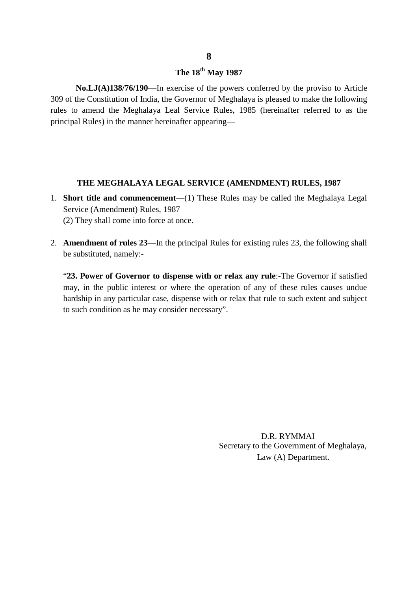## **The 18th May 1987**

**No.LJ(A)138/76/190**—In exercise of the powers conferred by the proviso to Article **309 of the Constitution of India, the Governor of Meghalaya is pleased to make the following**<br>309 of the Constitution of India, the Governor of Meghalaya is pleased to make the following<br>rules to amend the Meghalaya Leal rules to amend the Meghalaya Leal Service Rules, 1985 (hereinafter referred to as the **Principal Rules) The 18<sup>th</sup> May 1987**<br>**No.LJ(A)138/76/190**—In exercise of the powers conferred by the Constitution of India, the Governor of Meghalaya is pleased to rules to amend the Meghalaya Leal Service Rules, 1985

# **THE MEGHALAYA LEGAL SERVICE (AMENDMENT) RULES, 1987**

- 1. **Short title and commencement**—(1) These Rules may be called the Meghalaya Legal<br>Service (Amendment) Rules, 1987 Service (Amendment) Rules, 1987 THE MEGHALAYA LEGAL SERV<br>Short title and commencement—(1) The<br>Service (Amendment) Rules, 1987<br>(2) They shall come into force at once.
- 2. **Amendment of rules 23**—In the principal Rules for existing rules 23, the following shall be substituted, namely:-

"**23. Power of Governor to dispense with or relax any rule**:-The Governor if satisfied may, in the public interest or where the operation of any of these rules causes undue hardship in any particular case, dispense with or relax that rule to such extent and subject to such condition as he may consider necessary".

> D.R. RYMMAI Secretary to the Government of Meghalaya, Law (A) Department.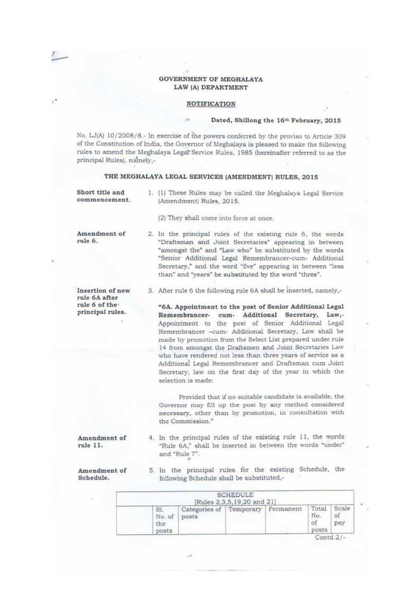### **GOVERNMENT OF MEGHALAYA** LAW (A) DEPARTMENT

 $\overline{10}$ 

y,

### **NOTIFICATION**

### Dated, Shillong the 16th February, 2015

No. LJ(A) 10/2008/8.- In exercise of the powers conferred by the proviso to Article 309 of the Constitution of India, the Governor of Meghalaya is pleased to make the following rules to amend the Meghalaya Legal Service Rules, 1985 (hereinafter referred to as the principal Rules), namely,-

### THE MEGHALAYA LEGAL SERVICES (AMENDMENT) RULES, 2015

Short title and 1. (1) These Rules may be called the Meghalaya Legal Service commencement (Amendment) Rules, 2015. (2) They shall come into force at once. Amendment of 2. In the principal rules of the existing rule 6, the words rule 6. "Draftsman and Joint Secretaries" appearing in between "amongst the" and "Law who" be substituted by the words "Senior Additional Legal Remembrancer-cum- Additional Secretary," and the word "five" appearing in between "less than" and "years" be substituted by the word "three". 3. After rule 6 the following rule 6A shall be inserted, namely,-Insertion of new rule 6A after rule 6 of the "6A. Appointment to the post of Senior Additional Legal principal rules. Remembrancer- cum- Additional Secretary, Law,-Appointment to the post of Senior Additional Legal Remembrancer -cum- Additional Secretary, Law shall be made by promotion from the Select List prepared under rule 14 from amongst the Draftsmen and Joint Secretaries Law who have rendered not less than three years of service as a Additional Legal Remembrancer and Draftsman cum Joint Secretary, law on the first day of the year in which the selection is made: Provided that if no suitable candidate is available, the Governor may fill up the post by any method considered necessary, other than by promotion, in consultation with the Commission." 4. In the principal rules of the existing rule 11, the words Amendment of "Rule 6A," shall be inserted in between the words "under" rule 11. and "Rule 7". 5. In the principal rules for the existing Schedule, the Amendment of Schedule. following Schedule shall be substituted,-

| SI.<br>No. of<br>the<br>posts | Categories of Temporary Permanent<br>posts |  |  | Total<br>No.<br>posts | Scale<br>оt<br>pay |
|-------------------------------|--------------------------------------------|--|--|-----------------------|--------------------|
|-------------------------------|--------------------------------------------|--|--|-----------------------|--------------------|

 $Contd.2$  /-